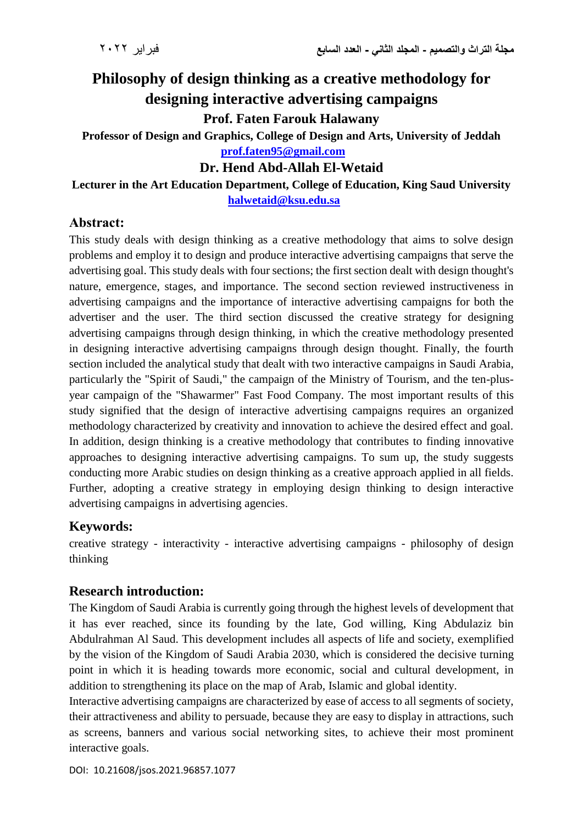# **Philosophy of design thinking as a creative methodology for designing interactive advertising campaigns**

**Prof. Faten Farouk Halawany**

**Professor of Design and Graphics, College of Design and Arts, University of Jeddah [prof.faten95@gmail.com](mailto:prof.faten95@gmail.com)**

# **Dr. Hend Abd-Allah El-Wetaid**

#### **Lecturer in the Art Education Department, College of Education, King Saud University  [halwetaid@ksu.edu.sa](mailto:halwetaid@ksu.edu.sa)**

# **Abstract:**

This study deals with design thinking as a creative methodology that aims to solve design problems and employ it to design and produce interactive advertising campaigns that serve the advertising goal. This study deals with four sections; the first section dealt with design thought's nature, emergence, stages, and importance. The second section reviewed instructiveness in advertising campaigns and the importance of interactive advertising campaigns for both the advertiser and the user. The third section discussed the creative strategy for designing advertising campaigns through design thinking, in which the creative methodology presented in designing interactive advertising campaigns through design thought. Finally, the fourth section included the analytical study that dealt with two interactive campaigns in Saudi Arabia, particularly the "Spirit of Saudi," the campaign of the Ministry of Tourism, and the ten-plusyear campaign of the "Shawarmer" Fast Food Company. The most important results of this study signified that the design of interactive advertising campaigns requires an organized methodology characterized by creativity and innovation to achieve the desired effect and goal. In addition, design thinking is a creative methodology that contributes to finding innovative approaches to designing interactive advertising campaigns. To sum up, the study suggests conducting more Arabic studies on design thinking as a creative approach applied in all fields. Further, adopting a creative strategy in employing design thinking to design interactive advertising campaigns in advertising agencies.

# **Keywords:**

creative strategy - interactivity - interactive advertising campaigns - philosophy of design thinking

# **Research introduction:**

The Kingdom of Saudi Arabia is currently going through the highest levels of development that it has ever reached, since its founding by the late, God willing, King Abdulaziz bin Abdulrahman Al Saud. This development includes all aspects of life and society, exemplified by the vision of the Kingdom of Saudi Arabia 2030, which is considered the decisive turning point in which it is heading towards more economic, social and cultural development, in addition to strengthening its place on the map of Arab, Islamic and global identity.

Interactive advertising campaigns are characterized by ease of access to all segments of society, their attractiveness and ability to persuade, because they are easy to display in attractions, such as screens, banners and various social networking sites, to achieve their most prominent interactive goals.

DOI: 10.21608/jsos.2021.96857.1077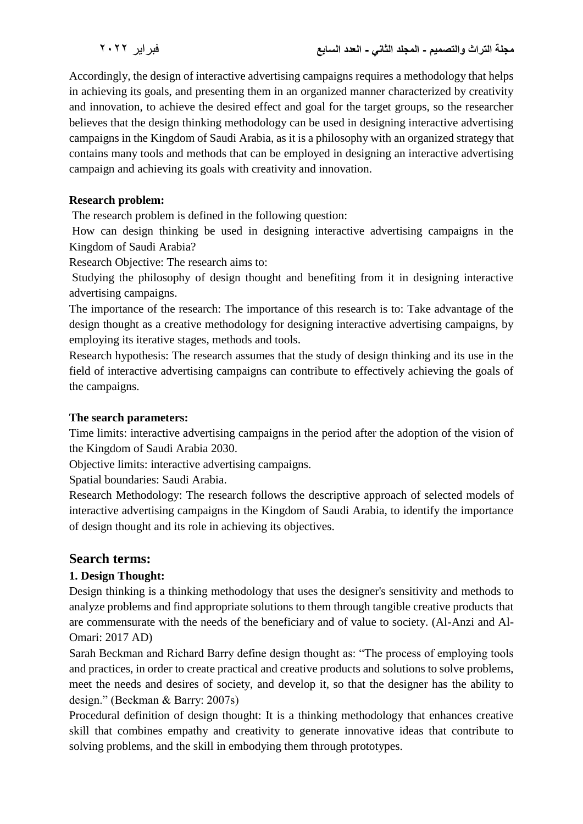Accordingly, the design of interactive advertising campaigns requires a methodology that helps in achieving its goals, and presenting them in an organized manner characterized by creativity and innovation, to achieve the desired effect and goal for the target groups, so the researcher believes that the design thinking methodology can be used in designing interactive advertising campaigns in the Kingdom of Saudi Arabia, as it is a philosophy with an organized strategy that contains many tools and methods that can be employed in designing an interactive advertising campaign and achieving its goals with creativity and innovation.

#### **Research problem:**

The research problem is defined in the following question:

How can design thinking be used in designing interactive advertising campaigns in the Kingdom of Saudi Arabia?

Research Objective: The research aims to:

Studying the philosophy of design thought and benefiting from it in designing interactive advertising campaigns.

The importance of the research: The importance of this research is to: Take advantage of the design thought as a creative methodology for designing interactive advertising campaigns, by employing its iterative stages, methods and tools.

Research hypothesis: The research assumes that the study of design thinking and its use in the field of interactive advertising campaigns can contribute to effectively achieving the goals of the campaigns.

#### **The search parameters:**

Time limits: interactive advertising campaigns in the period after the adoption of the vision of the Kingdom of Saudi Arabia 2030.

Objective limits: interactive advertising campaigns.

Spatial boundaries: Saudi Arabia.

Research Methodology: The research follows the descriptive approach of selected models of interactive advertising campaigns in the Kingdom of Saudi Arabia, to identify the importance of design thought and its role in achieving its objectives.

#### **Search terms:**

#### **1. Design Thought:**

Design thinking is a thinking methodology that uses the designer's sensitivity and methods to analyze problems and find appropriate solutions to them through tangible creative products that are commensurate with the needs of the beneficiary and of value to society. (Al-Anzi and Al-Omari: 2017 AD)

Sarah Beckman and Richard Barry define design thought as: "The process of employing tools and practices, in order to create practical and creative products and solutions to solve problems, meet the needs and desires of society, and develop it, so that the designer has the ability to design." (Beckman & Barry: 2007s)

Procedural definition of design thought: It is a thinking methodology that enhances creative skill that combines empathy and creativity to generate innovative ideas that contribute to solving problems, and the skill in embodying them through prototypes.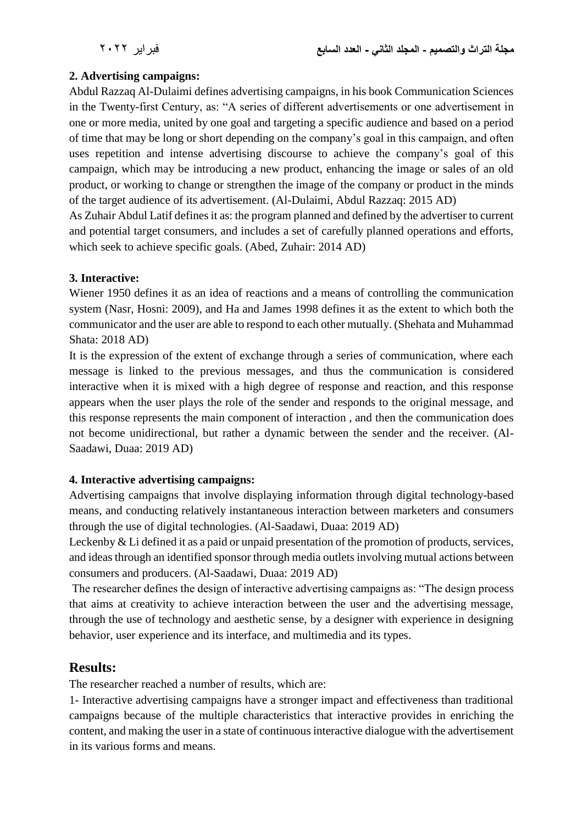### **2. Advertising campaigns:**

Abdul Razzaq Al-Dulaimi defines advertising campaigns, in his book Communication Sciences in the Twenty-first Century, as: "A series of different advertisements or one advertisement in one or more media, united by one goal and targeting a specific audience and based on a period of time that may be long or short depending on the company's goal in this campaign, and often uses repetition and intense advertising discourse to achieve the company's goal of this campaign, which may be introducing a new product, enhancing the image or sales of an old product, or working to change or strengthen the image of the company or product in the minds of the target audience of its advertisement. (Al-Dulaimi, Abdul Razzaq: 2015 AD)

As Zuhair Abdul Latif defines it as: the program planned and defined by the advertiser to current and potential target consumers, and includes a set of carefully planned operations and efforts, which seek to achieve specific goals. (Abed, Zuhair: 2014 AD)

### **3. Interactive:**

Wiener 1950 defines it as an idea of reactions and a means of controlling the communication system (Nasr, Hosni: 2009), and Ha and James 1998 defines it as the extent to which both the communicator and the user are able to respond to each other mutually. (Shehata and Muhammad Shata: 2018 AD)

It is the expression of the extent of exchange through a series of communication, where each message is linked to the previous messages, and thus the communication is considered interactive when it is mixed with a high degree of response and reaction, and this response appears when the user plays the role of the sender and responds to the original message, and this response represents the main component of interaction , and then the communication does not become unidirectional, but rather a dynamic between the sender and the receiver. (Al-Saadawi, Duaa: 2019 AD)

### **4. Interactive advertising campaigns:**

Advertising campaigns that involve displaying information through digital technology-based means, and conducting relatively instantaneous interaction between marketers and consumers through the use of digital technologies. (Al-Saadawi, Duaa: 2019 AD)

Leckenby & Li defined it as a paid or unpaid presentation of the promotion of products, services, and ideas through an identified sponsor through media outlets involving mutual actions between consumers and producers. (Al-Saadawi, Duaa: 2019 AD)

The researcher defines the design of interactive advertising campaigns as: "The design process that aims at creativity to achieve interaction between the user and the advertising message, through the use of technology and aesthetic sense, by a designer with experience in designing behavior, user experience and its interface, and multimedia and its types.

# **Results:**

The researcher reached a number of results, which are:

1- Interactive advertising campaigns have a stronger impact and effectiveness than traditional campaigns because of the multiple characteristics that interactive provides in enriching the content, and making the user in a state of continuous interactive dialogue with the advertisement in its various forms and means.